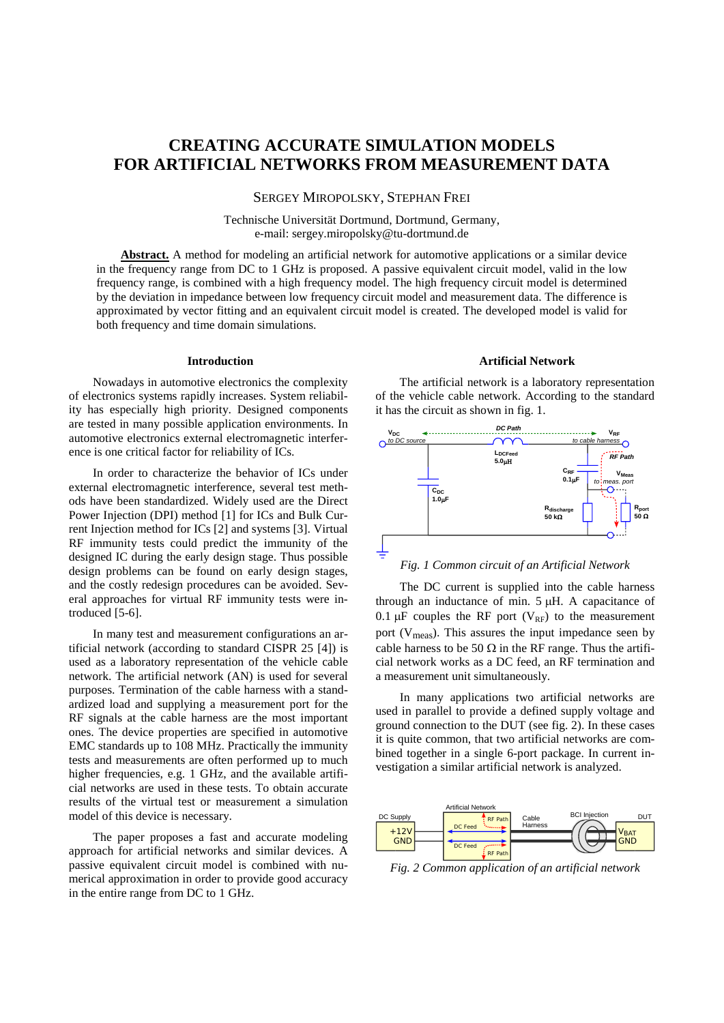# **CREATING ACCURATE SIMULATION MODELS FOR ARTIFICIAL NETWORKS FROM MEASUREMENT DATA**

# SERGEY MIROPOLSKY, STEPHAN FREI

Technische Universität Dortmund, Dortmund, Germany, e-mail: sergey.miropolsky@tu-dortmund.de

**Abstract.** A method for modeling an artificial network for automotive applications or a similar device in the frequency range from DC to 1 GHz is proposed. A passive equivalent circuit model, valid in the low frequency range, is combined with a high frequency model. The high frequency circuit model is determined by the deviation in impedance between low frequency circuit model and measurement data. The difference is approximated by vector fitting and an equivalent circuit model is created. The developed model is valid for both frequency and time domain simulations.

#### **Introduction**

Nowadays in automotive electronics the complexity of electronics systems rapidly increases. System reliability has especially high priority. Designed components are tested in many possible application environments. In automotive electronics external electromagnetic interference is one critical factor for reliability of ICs.

In order to characterize the behavior of ICs under external electromagnetic interference, several test methods have been standardized. Widely used are the Direct Power Injection (DPI) method [1] for ICs and Bulk Current Injection method for ICs [2] and systems [3]. Virtual RF immunity tests could predict the immunity of the designed IC during the early design stage. Thus possible design problems can be found on early design stages, and the costly redesign procedures can be avoided. Several approaches for virtual RF immunity tests were introduced [5-6].

In many test and measurement configurations an artificial network (according to standard CISPR 25 [4]) is used as a laboratory representation of the vehicle cable network. The artificial network (AN) is used for several purposes. Termination of the cable harness with a standardized load and supplying a measurement port for the RF signals at the cable harness are the most important ones. The device properties are specified in automotive EMC standards up to 108 MHz. Practically the immunity tests and measurements are often performed up to much higher frequencies, e.g. 1 GHz, and the available artificial networks are used in these tests. To obtain accurate results of the virtual test or measurement a simulation model of this device is necessary.

The paper proposes a fast and accurate modeling approach for artificial networks and similar devices. A passive equivalent circuit model is combined with numerical approximation in order to provide good accuracy in the entire range from DC to 1 GHz.

#### **Artificial Network**

The artificial network is a laboratory representation of the vehicle cable network. According to the standard it has the circuit as shown in fig. [1.](#page-0-0)



# *Fig. 1 Common circuit of an Artificial Network*

<span id="page-0-0"></span>The DC current is supplied into the cable harness through an inductance of min. 5 µH. A capacitance of 0.1  $\mu$ F couples the RF port (V<sub>RF</sub>) to the measurement port ( $V_{meas}$ ). This assures the input impedance seen by cable harness to be 50  $\Omega$  in the RF range. Thus the artificial network works as a DC feed, an RF termination and a measurement unit simultaneously.

In many applications two artificial networks are used in parallel to provide a defined supply voltage and ground connection to the DUT (see fig. [2\)](#page-0-1). In these cases it is quite common, that two artificial networks are combined together in a single 6-port package. In current investigation a similar artificial network is analyzed.



<span id="page-0-1"></span>*Fig. 2 Common application of an artificial network*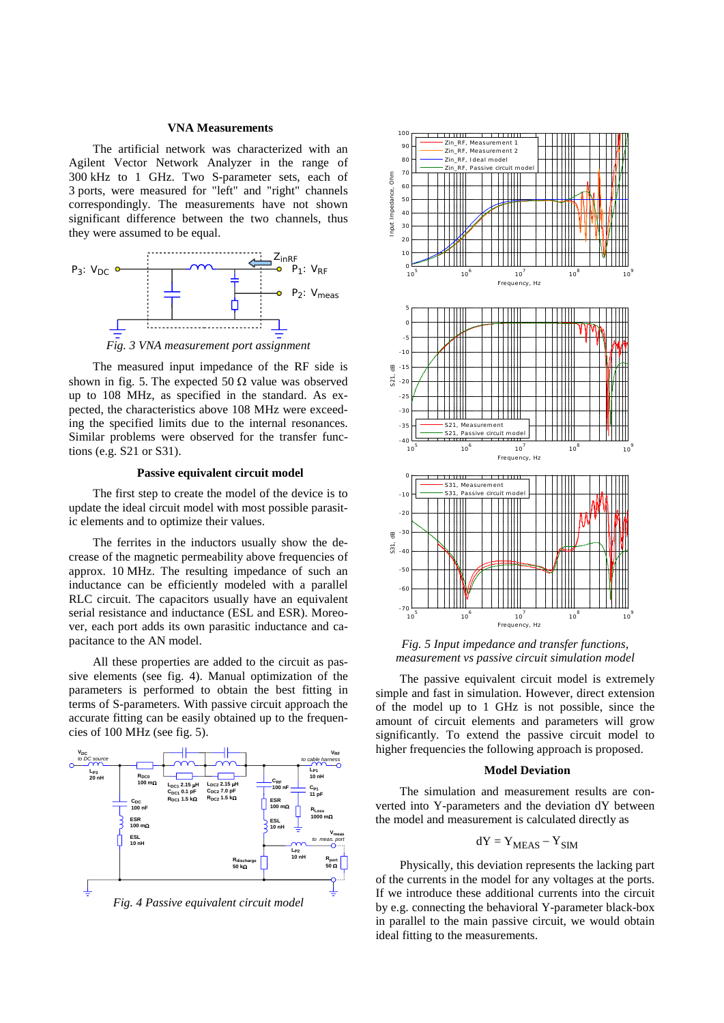## **VNA Measurements**

The artificial network was characterized with an Agilent Vector Network Analyzer in the range of 300 kHz to 1 GHz. Two S-parameter sets, each of 3 ports, were measured for "left" and "right" channels correspondingly. The measurements have not shown significant difference between the two channels, thus they were assumed to be equal.



*Fig. 3 VNA measurement port assignment*

The measured input impedance of the RF side is shown in fig. [5.](#page-1-0) The expected 50  $\Omega$  value was observed up to 108 MHz, as specified in the standard. As expected, the characteristics above 108 MHz were exceeding the specified limits due to the internal resonances. Similar problems were observed for the transfer functions (e.g. S21 or S31).

## **Passive equivalent circuit model**

The first step to create the model of the device is to update the ideal circuit model with most possible parasitic elements and to optimize their values.

The ferrites in the inductors usually show the decrease of the magnetic permeability above frequencies of approx. 10 MHz. The resulting impedance of such an inductance can be efficiently modeled with a parallel RLC circuit. The capacitors usually have an equivalent serial resistance and inductance (ESL and ESR). Moreover, each port adds its own parasitic inductance and capacitance to the AN model.

All these properties are added to the circuit as passive elements (see fig. [4\)](#page-1-1). Manual optimization of the parameters is performed to obtain the best fitting in terms of S-parameters. With passive circuit approach the accurate fitting can be easily obtained up to the frequencies of 100 MHz (see fig. [5\)](#page-1-0).

<span id="page-1-1"></span>





<span id="page-1-0"></span>*Fig. 5 Input impedance and transfer functions, measurement vs passive circuit simulation model*

The passive equivalent circuit model is extremely simple and fast in simulation. However, direct extension of the model up to 1 GHz is not possible, since the amount of circuit elements and parameters will grow significantly. To extend the passive circuit model to higher frequencies the following approach is proposed.

#### **Model Deviation**

The simulation and measurement results are converted into Y-parameters and the deviation dY between the model and measurement is calculated directly as

$$
dY = Y_{MEAS} - Y_{SIM}
$$

Physically, this deviation represents the lacking part of the currents in the model for any voltages at the ports. If we introduce these additional currents into the circuit by e.g. connecting the behavioral Y-parameter black-box in parallel to the main passive circuit, we would obtain ideal fitting to the measurements.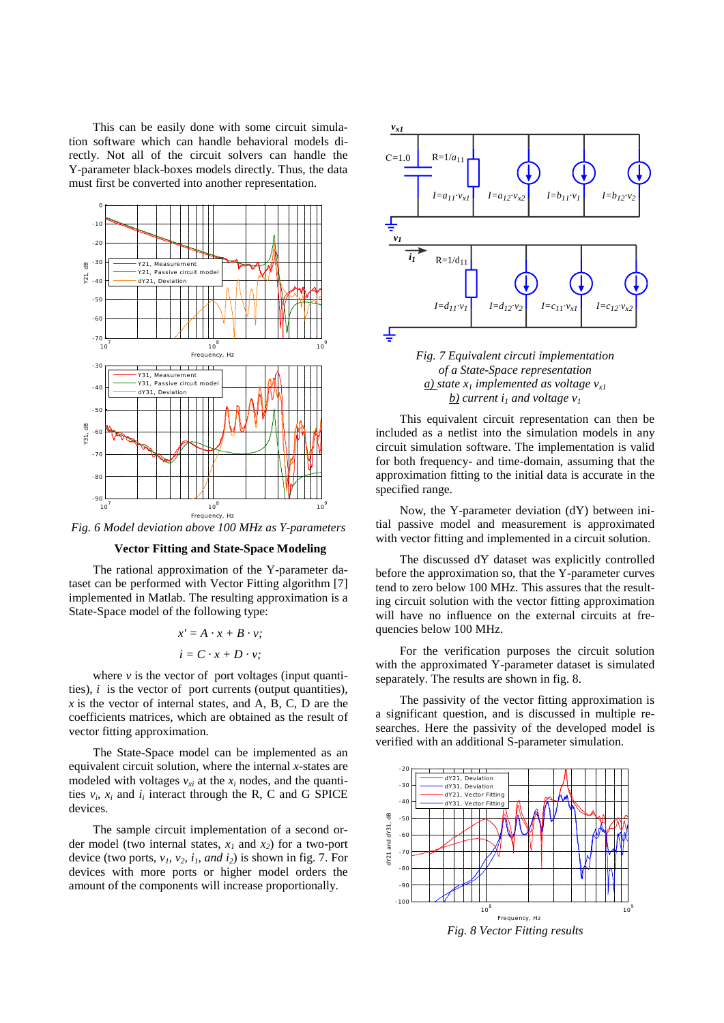This can be easily done with some circuit simulation software which can handle behavioral models directly. Not all of the circuit solvers can handle the Y-parameter black-boxes models directly. Thus, the data must first be converted into another representation.



*Fig. 6 Model deviation above 100 MHz as Y-parameters*

## **Vector Fitting and State-Space Modeling**

The rational approximation of the Y-parameter dataset can be performed with Vector Fitting algorithm [7] implemented in Matlab. The resulting approximation is a State-Space model of the following type:

$$
x' = A \cdot x + B \cdot v;
$$
  

$$
i = C \cdot x + D \cdot v;
$$

where  $\nu$  is the vector of port voltages (input quantities),  $i$  is the vector of port currents (output quantities),  *is the vector of internal states, and A, B, C, D are the* coefficients matrices, which are obtained as the result of vector fitting approximation.

The State-Space model can be implemented as an equivalent circuit solution, where the internal *x*-states are modeled with voltages  $v_{x_i}$  at the  $x_i$  nodes, and the quantities  $v_i$ ,  $x_i$  and  $i_j$  interact through the R, C and G SPICE devices.

The sample circuit implementation of a second order model (two internal states,  $x_1$  and  $x_2$ ) for a two-port device (two ports,  $v_1$ ,  $v_2$ ,  $i_1$ , and  $i_2$ ) is shown in fig. 7. For devices with more ports or higher model orders the amount of the components will increase proportionally.



*Fig. 7 Equivalent circuti implementation of a State-Space representation*  $\underline{a}$ *)* state  $x_1$  *implemented as voltage*  $v_{x1}$ *b*) *current*  $i_1$  *and voltage*  $v_1$ 

This equivalent circuit representation can then be included as a netlist into the simulation models in any circuit simulation software. The implementation is valid for both frequency- and time-domain, assuming that the approximation fitting to the initial data is accurate in the specified range.

Now, the Y-parameter deviation (dY) between initial passive model and measurement is approximated with vector fitting and implemented in a circuit solution.

The discussed dY dataset was explicitly controlled before the approximation so, that the Y-parameter curves tend to zero below 100 MHz. This assures that the resulting circuit solution with the vector fitting approximation will have no influence on the external circuits at frequencies below 100 MHz.

For the verification purposes the circuit solution with the approximated Y-parameter dataset is simulated separately. The results are shown in fig. [8.](#page-2-0)

The passivity of the vector fitting approximation is a significant question, and is discussed in multiple researches. Here the passivity of the developed model is verified with an additional S-parameter simulation.

<span id="page-2-0"></span>